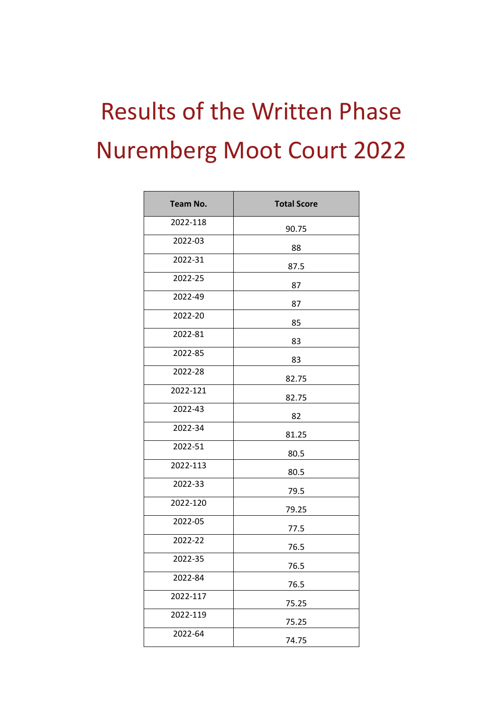## Results of the Written Phase Nuremberg Moot Court 2022

| <b>Team No.</b> | <b>Total Score</b> |
|-----------------|--------------------|
| 2022-118        | 90.75              |
| 2022-03         | 88                 |
| 2022-31         | 87.5               |
| 2022-25         | 87                 |
| 2022-49         | 87                 |
| 2022-20         | 85                 |
| 2022-81         | 83                 |
| 2022-85         | 83                 |
| 2022-28         | 82.75              |
| 2022-121        | 82.75              |
| 2022-43         | 82                 |
| 2022-34         | 81.25              |
| 2022-51         | 80.5               |
| 2022-113        | 80.5               |
| 2022-33         | 79.5               |
| 2022-120        | 79.25              |
| 2022-05         | 77.5               |
| 2022-22         | 76.5               |
| 2022-35         | 76.5               |
| 2022-84         | 76.5               |
| 2022-117        | 75.25              |
| 2022-119        | 75.25              |
| 2022-64         | 74.75              |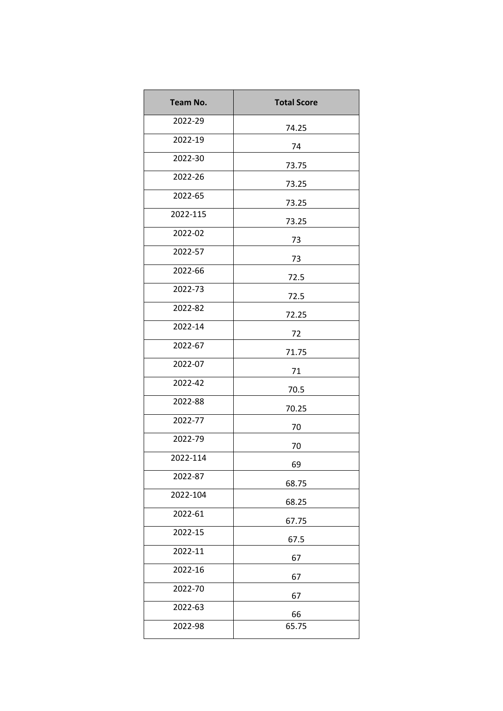| Team No. | <b>Total Score</b> |
|----------|--------------------|
| 2022-29  | 74.25              |
| 2022-19  | 74                 |
| 2022-30  | 73.75              |
| 2022-26  | 73.25              |
| 2022-65  | 73.25              |
| 2022-115 | 73.25              |
| 2022-02  | 73                 |
| 2022-57  | 73                 |
| 2022-66  | 72.5               |
| 2022-73  | 72.5               |
| 2022-82  | 72.25              |
| 2022-14  | 72                 |
| 2022-67  | 71.75              |
| 2022-07  | 71                 |
| 2022-42  | 70.5               |
| 2022-88  | 70.25              |
| 2022-77  | 70                 |
| 2022-79  | 70                 |
| 2022-114 | 69                 |
| 2022-87  | 68.75              |
| 2022-104 | 68.25              |
| 2022-61  | 67.75              |
| 2022-15  | 67.5               |
| 2022-11  | 67                 |
| 2022-16  | 67                 |
| 2022-70  | 67                 |
| 2022-63  | 66                 |
| 2022-98  | 65.75              |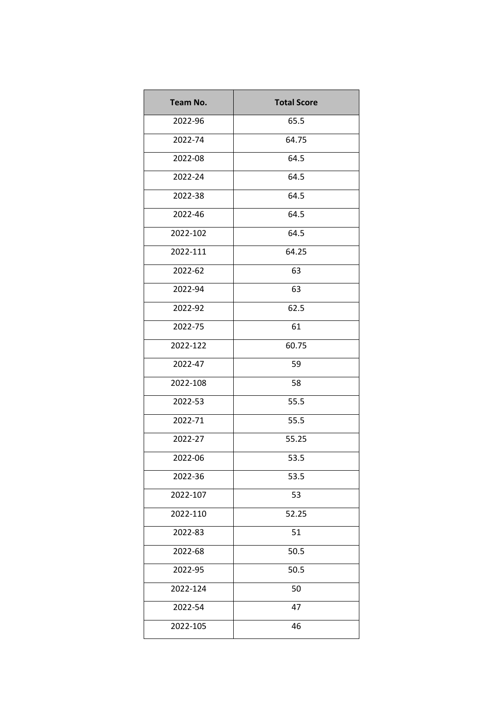| <b>Team No.</b> | <b>Total Score</b> |
|-----------------|--------------------|
| 2022-96         | 65.5               |
| 2022-74         | 64.75              |
| 2022-08         | 64.5               |
| 2022-24         | 64.5               |
| 2022-38         | 64.5               |
| 2022-46         | 64.5               |
| 2022-102        | 64.5               |
| 2022-111        | 64.25              |
| 2022-62         | 63                 |
| 2022-94         | 63                 |
| 2022-92         | 62.5               |
| 2022-75         | 61                 |
| 2022-122        | 60.75              |
| 2022-47         | 59                 |
| 2022-108        | 58                 |
| 2022-53         | 55.5               |
| 2022-71         | 55.5               |
| 2022-27         | 55.25              |
| 2022-06         | 53.5               |
| 2022-36         | 53.5               |
| 2022-107        | 53                 |
| 2022-110        | 52.25              |
| 2022-83         | 51                 |
| 2022-68         | 50.5               |
| 2022-95         | 50.5               |
| 2022-124        | 50                 |
| 2022-54         | 47                 |
| 2022-105        | 46                 |